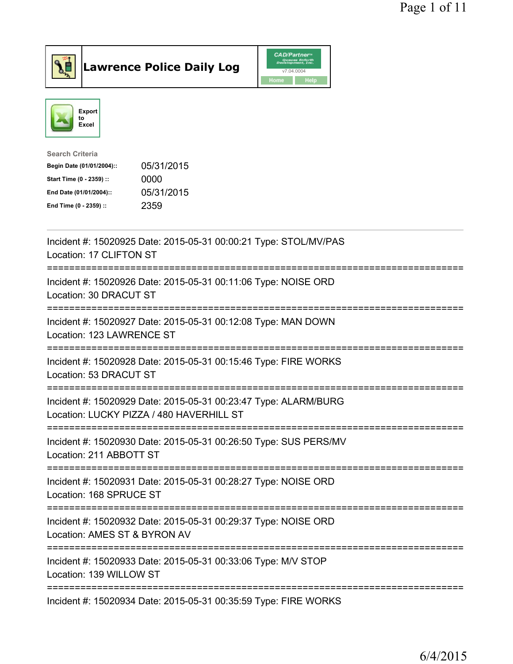



| <b>Search Criteria</b>    |            |
|---------------------------|------------|
| Begin Date (01/01/2004):: | 05/31/2015 |
| Start Time (0 - 2359) ::  | 0000       |
| End Date (01/01/2004)::   | 05/31/2015 |
| End Time (0 - 2359) ::    | 2359       |
|                           |            |

| Incident #: 15020925 Date: 2015-05-31 00:00:21 Type: STOL/MV/PAS<br>Location: 17 CLIFTON ST                        |
|--------------------------------------------------------------------------------------------------------------------|
| Incident #: 15020926 Date: 2015-05-31 00:11:06 Type: NOISE ORD<br>Location: 30 DRACUT ST<br>----------             |
| Incident #: 15020927 Date: 2015-05-31 00:12:08 Type: MAN DOWN<br>Location: 123 LAWRENCE ST                         |
| Incident #: 15020928 Date: 2015-05-31 00:15:46 Type: FIRE WORKS<br>Location: 53 DRACUT ST                          |
| Incident #: 15020929 Date: 2015-05-31 00:23:47 Type: ALARM/BURG<br>Location: LUCKY PIZZA / 480 HAVERHILL ST        |
| Incident #: 15020930 Date: 2015-05-31 00:26:50 Type: SUS PERS/MV<br>Location: 211 ABBOTT ST<br>:================== |
| Incident #: 15020931 Date: 2015-05-31 00:28:27 Type: NOISE ORD<br>Location: 168 SPRUCE ST<br>:============         |
| Incident #: 15020932 Date: 2015-05-31 00:29:37 Type: NOISE ORD<br>Location: AMES ST & BYRON AV                     |
| ======================<br>Incident #: 15020933 Date: 2015-05-31 00:33:06 Type: M/V STOP<br>Location: 139 WILLOW ST |
| Incident #: 15020934 Date: 2015-05-31 00:35:59 Type: FIRE WORKS                                                    |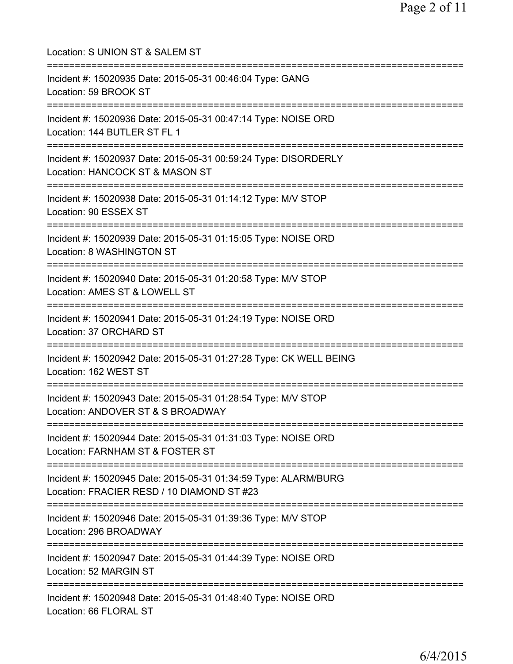| Location: S UNION ST & SALEM ST<br>=======================                                                    |
|---------------------------------------------------------------------------------------------------------------|
| Incident #: 15020935 Date: 2015-05-31 00:46:04 Type: GANG<br>Location: 59 BROOK ST                            |
| Incident #: 15020936 Date: 2015-05-31 00:47:14 Type: NOISE ORD<br>Location: 144 BUTLER ST FL 1                |
| Incident #: 15020937 Date: 2015-05-31 00:59:24 Type: DISORDERLY<br>Location: HANCOCK ST & MASON ST            |
| Incident #: 15020938 Date: 2015-05-31 01:14:12 Type: M/V STOP<br>Location: 90 ESSEX ST                        |
| Incident #: 15020939 Date: 2015-05-31 01:15:05 Type: NOISE ORD<br>Location: 8 WASHINGTON ST                   |
| Incident #: 15020940 Date: 2015-05-31 01:20:58 Type: M/V STOP<br>Location: AMES ST & LOWELL ST                |
| Incident #: 15020941 Date: 2015-05-31 01:24:19 Type: NOISE ORD<br>Location: 37 ORCHARD ST                     |
| Incident #: 15020942 Date: 2015-05-31 01:27:28 Type: CK WELL BEING<br>Location: 162 WEST ST                   |
| Incident #: 15020943 Date: 2015-05-31 01:28:54 Type: M/V STOP<br>Location: ANDOVER ST & S BROADWAY            |
| Incident #: 15020944 Date: 2015-05-31 01:31:03 Type: NOISE ORD<br>Location: FARNHAM ST & FOSTER ST            |
| Incident #: 15020945 Date: 2015-05-31 01:34:59 Type: ALARM/BURG<br>Location: FRACIER RESD / 10 DIAMOND ST #23 |
| Incident #: 15020946 Date: 2015-05-31 01:39:36 Type: M/V STOP<br>Location: 296 BROADWAY                       |
| Incident #: 15020947 Date: 2015-05-31 01:44:39 Type: NOISE ORD<br>Location: 52 MARGIN ST                      |
| Incident #: 15020948 Date: 2015-05-31 01:48:40 Type: NOISE ORD<br>Location: 66 FLORAL ST                      |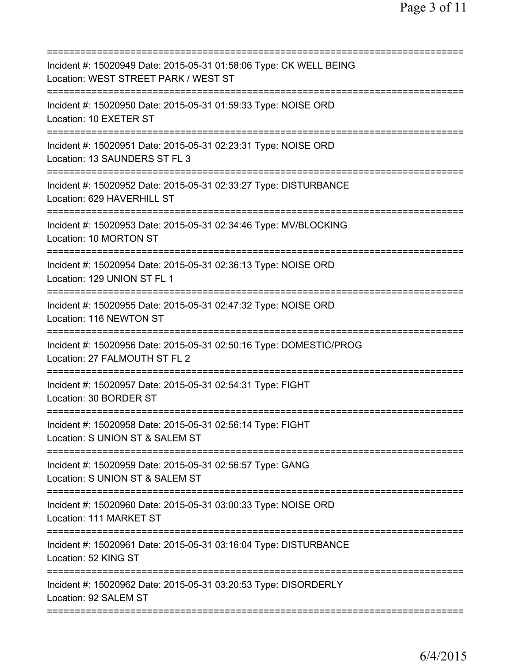| Incident #: 15020949 Date: 2015-05-31 01:58:06 Type: CK WELL BEING<br>Location: WEST STREET PARK / WEST ST                 |
|----------------------------------------------------------------------------------------------------------------------------|
| Incident #: 15020950 Date: 2015-05-31 01:59:33 Type: NOISE ORD<br>Location: 10 EXETER ST                                   |
| Incident #: 15020951 Date: 2015-05-31 02:23:31 Type: NOISE ORD<br>Location: 13 SAUNDERS ST FL 3                            |
| Incident #: 15020952 Date: 2015-05-31 02:33:27 Type: DISTURBANCE<br>Location: 629 HAVERHILL ST<br>=====================    |
| Incident #: 15020953 Date: 2015-05-31 02:34:46 Type: MV/BLOCKING<br>Location: 10 MORTON ST                                 |
| Incident #: 15020954 Date: 2015-05-31 02:36:13 Type: NOISE ORD<br>Location: 129 UNION ST FL 1                              |
| Incident #: 15020955 Date: 2015-05-31 02:47:32 Type: NOISE ORD<br>Location: 116 NEWTON ST                                  |
| Incident #: 15020956 Date: 2015-05-31 02:50:16 Type: DOMESTIC/PROG<br>Location: 27 FALMOUTH ST FL 2                        |
| Incident #: 15020957 Date: 2015-05-31 02:54:31 Type: FIGHT<br>Location: 30 BORDER ST                                       |
| Incident #: 15020958 Date: 2015-05-31 02:56:14 Type: FIGHT<br>Location: S UNION ST & SALEM ST                              |
| Incident #: 15020959 Date: 2015-05-31 02:56:57 Type: GANG<br>Location: S UNION ST & SALEM ST                               |
| Incident #: 15020960 Date: 2015-05-31 03:00:33 Type: NOISE ORD<br>Location: 111 MARKET ST                                  |
| Incident #: 15020961 Date: 2015-05-31 03:16:04 Type: DISTURBANCE<br>Location: 52 KING ST                                   |
| :=============================<br>Incident #: 15020962 Date: 2015-05-31 03:20:53 Type: DISORDERLY<br>Location: 92 SALEM ST |
|                                                                                                                            |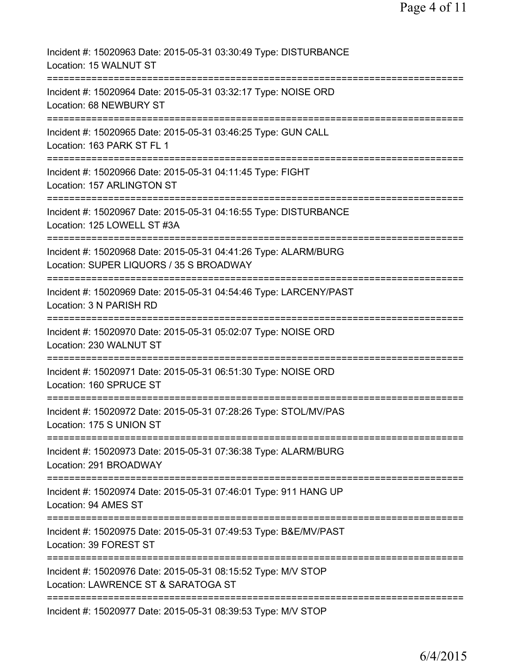| Incident #: 15020963 Date: 2015-05-31 03:30:49 Type: DISTURBANCE<br>Location: 15 WALNUT ST                                       |
|----------------------------------------------------------------------------------------------------------------------------------|
| Incident #: 15020964 Date: 2015-05-31 03:32:17 Type: NOISE ORD<br>Location: 68 NEWBURY ST                                        |
| Incident #: 15020965 Date: 2015-05-31 03:46:25 Type: GUN CALL<br>Location: 163 PARK ST FL 1                                      |
| Incident #: 15020966 Date: 2015-05-31 04:11:45 Type: FIGHT<br>Location: 157 ARLINGTON ST                                         |
| Incident #: 15020967 Date: 2015-05-31 04:16:55 Type: DISTURBANCE<br>Location: 125 LOWELL ST #3A                                  |
| Incident #: 15020968 Date: 2015-05-31 04:41:26 Type: ALARM/BURG<br>Location: SUPER LIQUORS / 35 S BROADWAY                       |
| Incident #: 15020969 Date: 2015-05-31 04:54:46 Type: LARCENY/PAST<br>Location: 3 N PARISH RD                                     |
| Incident #: 15020970 Date: 2015-05-31 05:02:07 Type: NOISE ORD<br>Location: 230 WALNUT ST                                        |
| :==================================<br>Incident #: 15020971 Date: 2015-05-31 06:51:30 Type: NOISE ORD<br>Location: 160 SPRUCE ST |
| :===============<br>Incident #: 15020972 Date: 2015-05-31 07:28:26 Type: STOL/MV/PAS<br>Location: 175 S UNION ST                 |
| Incident #: 15020973 Date: 2015-05-31 07:36:38 Type: ALARM/BURG<br>Location: 291 BROADWAY                                        |
| Incident #: 15020974 Date: 2015-05-31 07:46:01 Type: 911 HANG UP<br>Location: 94 AMES ST                                         |
| Incident #: 15020975 Date: 2015-05-31 07:49:53 Type: B&E/MV/PAST<br>Location: 39 FOREST ST                                       |
| Incident #: 15020976 Date: 2015-05-31 08:15:52 Type: M/V STOP<br>Location: LAWRENCE ST & SARATOGA ST                             |
| Incident #: 15020977 Date: 2015-05-31 08:39:53 Type: M/V STOP                                                                    |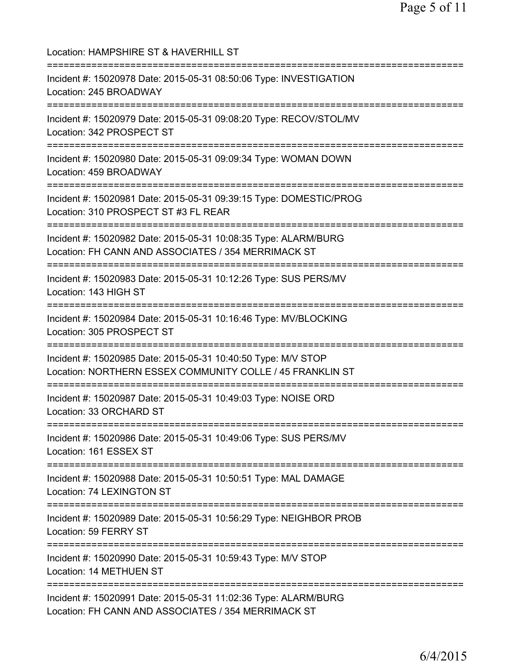| Location: HAMPSHIRE ST & HAVERHILL ST                                                                                      |
|----------------------------------------------------------------------------------------------------------------------------|
| Incident #: 15020978 Date: 2015-05-31 08:50:06 Type: INVESTIGATION<br>Location: 245 BROADWAY                               |
| Incident #: 15020979 Date: 2015-05-31 09:08:20 Type: RECOV/STOL/MV<br>Location: 342 PROSPECT ST                            |
| Incident #: 15020980 Date: 2015-05-31 09:09:34 Type: WOMAN DOWN<br>Location: 459 BROADWAY                                  |
| Incident #: 15020981 Date: 2015-05-31 09:39:15 Type: DOMESTIC/PROG<br>Location: 310 PROSPECT ST #3 FL REAR                 |
| Incident #: 15020982 Date: 2015-05-31 10:08:35 Type: ALARM/BURG<br>Location: FH CANN AND ASSOCIATES / 354 MERRIMACK ST     |
| Incident #: 15020983 Date: 2015-05-31 10:12:26 Type: SUS PERS/MV<br>Location: 143 HIGH ST                                  |
| Incident #: 15020984 Date: 2015-05-31 10:16:46 Type: MV/BLOCKING<br>Location: 305 PROSPECT ST                              |
| Incident #: 15020985 Date: 2015-05-31 10:40:50 Type: M/V STOP<br>Location: NORTHERN ESSEX COMMUNITY COLLE / 45 FRANKLIN ST |
| Incident #: 15020987 Date: 2015-05-31 10:49:03 Type: NOISE ORD<br>Location: 33 ORCHARD ST<br>====================          |
| Incident #: 15020986 Date: 2015-05-31 10:49:06 Type: SUS PERS/MV<br>Location: 161 ESSEX ST                                 |
| Incident #: 15020988 Date: 2015-05-31 10:50:51 Type: MAL DAMAGE<br>Location: 74 LEXINGTON ST                               |
| Incident #: 15020989 Date: 2015-05-31 10:56:29 Type: NEIGHBOR PROB<br>Location: 59 FERRY ST                                |
| Incident #: 15020990 Date: 2015-05-31 10:59:43 Type: M/V STOP<br>Location: 14 METHUEN ST                                   |
| Incident #: 15020991 Date: 2015-05-31 11:02:36 Type: ALARM/BURG<br>Location: FH CANN AND ASSOCIATES / 354 MERRIMACK ST     |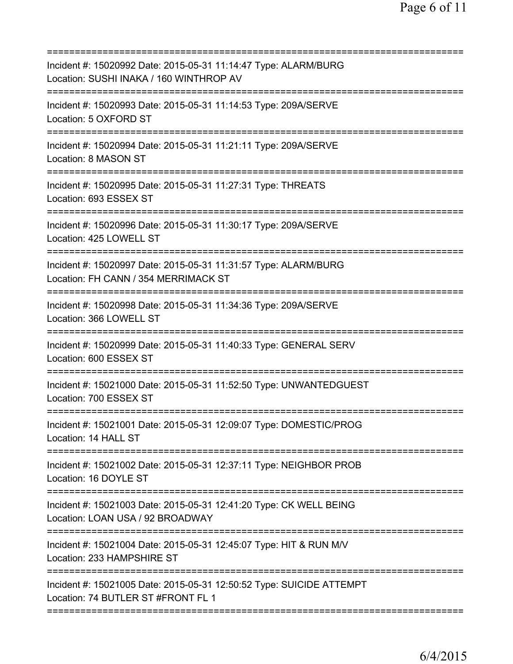| Incident #: 15020992 Date: 2015-05-31 11:14:47 Type: ALARM/BURG<br>Location: SUSHI INAKA / 160 WINTHROP AV     |
|----------------------------------------------------------------------------------------------------------------|
| Incident #: 15020993 Date: 2015-05-31 11:14:53 Type: 209A/SERVE<br>Location: 5 OXFORD ST                       |
| Incident #: 15020994 Date: 2015-05-31 11:21:11 Type: 209A/SERVE<br>Location: 8 MASON ST                        |
| Incident #: 15020995 Date: 2015-05-31 11:27:31 Type: THREATS<br>Location: 693 ESSEX ST                         |
| Incident #: 15020996 Date: 2015-05-31 11:30:17 Type: 209A/SERVE<br>Location: 425 LOWELL ST                     |
| Incident #: 15020997 Date: 2015-05-31 11:31:57 Type: ALARM/BURG<br>Location: FH CANN / 354 MERRIMACK ST        |
| Incident #: 15020998 Date: 2015-05-31 11:34:36 Type: 209A/SERVE<br>Location: 366 LOWELL ST                     |
| Incident #: 15020999 Date: 2015-05-31 11:40:33 Type: GENERAL SERV<br>Location: 600 ESSEX ST                    |
| Incident #: 15021000 Date: 2015-05-31 11:52:50 Type: UNWANTEDGUEST<br>Location: 700 ESSEX ST                   |
| :===============<br>Incident #: 15021001 Date: 2015-05-31 12:09:07 Type: DOMESTIC/PROG<br>Location: 14 HALL ST |
| Incident #: 15021002 Date: 2015-05-31 12:37:11 Type: NEIGHBOR PROB<br>Location: 16 DOYLE ST                    |
| Incident #: 15021003 Date: 2015-05-31 12:41:20 Type: CK WELL BEING<br>Location: LOAN USA / 92 BROADWAY         |
| Incident #: 15021004 Date: 2015-05-31 12:45:07 Type: HIT & RUN M/V<br>Location: 233 HAMPSHIRE ST               |
| Incident #: 15021005 Date: 2015-05-31 12:50:52 Type: SUICIDE ATTEMPT<br>Location: 74 BUTLER ST #FRONT FL 1     |
|                                                                                                                |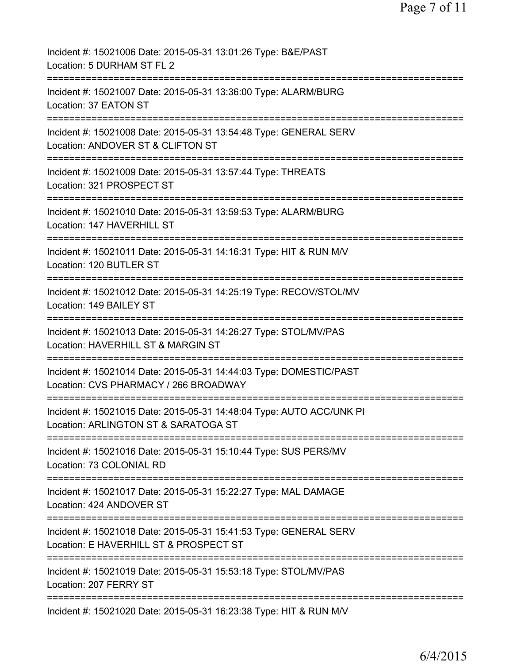| Incident #: 15021006 Date: 2015-05-31 13:01:26 Type: B&E/PAST<br>Location: 5 DURHAM ST FL 2                                 |
|-----------------------------------------------------------------------------------------------------------------------------|
| Incident #: 15021007 Date: 2015-05-31 13:36:00 Type: ALARM/BURG<br>Location: 37 EATON ST                                    |
| Incident #: 15021008 Date: 2015-05-31 13:54:48 Type: GENERAL SERV<br>Location: ANDOVER ST & CLIFTON ST                      |
| Incident #: 15021009 Date: 2015-05-31 13:57:44 Type: THREATS<br>Location: 321 PROSPECT ST                                   |
| Incident #: 15021010 Date: 2015-05-31 13:59:53 Type: ALARM/BURG<br>Location: 147 HAVERHILL ST                               |
| Incident #: 15021011 Date: 2015-05-31 14:16:31 Type: HIT & RUN M/V<br>Location: 120 BUTLER ST                               |
| Incident #: 15021012 Date: 2015-05-31 14:25:19 Type: RECOV/STOL/MV<br>Location: 149 BAILEY ST                               |
| -----------------<br>Incident #: 15021013 Date: 2015-05-31 14:26:27 Type: STOL/MV/PAS<br>Location: HAVERHILL ST & MARGIN ST |
| Incident #: 15021014 Date: 2015-05-31 14:44:03 Type: DOMESTIC/PAST<br>Location: CVS PHARMACY / 266 BROADWAY                 |
| Incident #: 15021015 Date: 2015-05-31 14:48:04 Type: AUTO ACC/UNK PI<br>Location: ARLINGTON ST & SARATOGA ST                |
| Incident #: 15021016 Date: 2015-05-31 15:10:44 Type: SUS PERS/MV<br>Location: 73 COLONIAL RD                                |
| Incident #: 15021017 Date: 2015-05-31 15:22:27 Type: MAL DAMAGE<br>Location: 424 ANDOVER ST                                 |
| Incident #: 15021018 Date: 2015-05-31 15:41:53 Type: GENERAL SERV<br>Location: E HAVERHILL ST & PROSPECT ST                 |
| Incident #: 15021019 Date: 2015-05-31 15:53:18 Type: STOL/MV/PAS<br>Location: 207 FERRY ST                                  |
| Incident #: 15021020 Date: 2015-05-31 16:23:38 Type: HIT & RUN M/V                                                          |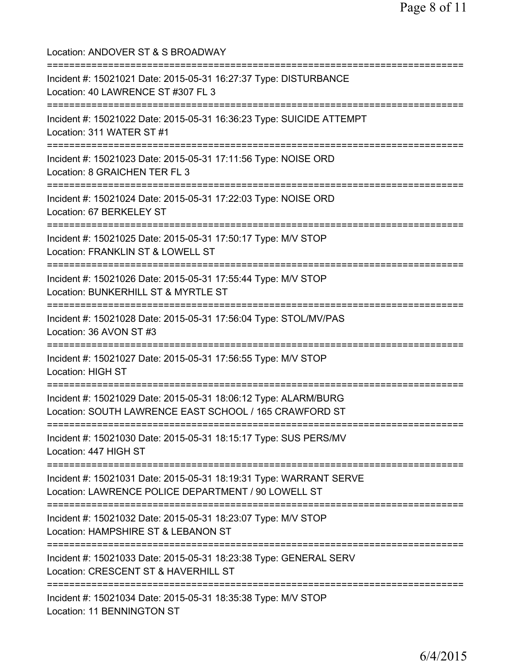| Location: ANDOVER ST & S BROADWAY                                                                                                     |
|---------------------------------------------------------------------------------------------------------------------------------------|
| Incident #: 15021021 Date: 2015-05-31 16:27:37 Type: DISTURBANCE<br>Location: 40 LAWRENCE ST #307 FL 3                                |
| Incident #: 15021022 Date: 2015-05-31 16:36:23 Type: SUICIDE ATTEMPT<br>Location: 311 WATER ST #1<br>===============================  |
| Incident #: 15021023 Date: 2015-05-31 17:11:56 Type: NOISE ORD<br>Location: 8 GRAICHEN TER FL 3<br>;===============================   |
| Incident #: 15021024 Date: 2015-05-31 17:22:03 Type: NOISE ORD<br>Location: 67 BERKELEY ST                                            |
| ===============================<br>Incident #: 15021025 Date: 2015-05-31 17:50:17 Type: M/V STOP<br>Location: FRANKLIN ST & LOWELL ST |
| Incident #: 15021026 Date: 2015-05-31 17:55:44 Type: M/V STOP<br>Location: BUNKERHILL ST & MYRTLE ST                                  |
| Incident #: 15021028 Date: 2015-05-31 17:56:04 Type: STOL/MV/PAS<br>Location: 36 AVON ST #3                                           |
| Incident #: 15021027 Date: 2015-05-31 17:56:55 Type: M/V STOP<br>Location: HIGH ST                                                    |
| Incident #: 15021029 Date: 2015-05-31 18:06:12 Type: ALARM/BURG<br>Location: SOUTH LAWRENCE EAST SCHOOL / 165 CRAWFORD ST             |
| Incident #: 15021030 Date: 2015-05-31 18:15:17 Type: SUS PERS/MV<br>Location: 447 HIGH ST                                             |
| Incident #: 15021031 Date: 2015-05-31 18:19:31 Type: WARRANT SERVE<br>Location: LAWRENCE POLICE DEPARTMENT / 90 LOWELL ST             |
| ======================<br>Incident #: 15021032 Date: 2015-05-31 18:23:07 Type: M/V STOP<br>Location: HAMPSHIRE ST & LEBANON ST        |
| Incident #: 15021033 Date: 2015-05-31 18:23:38 Type: GENERAL SERV<br>Location: CRESCENT ST & HAVERHILL ST                             |
| Incident #: 15021034 Date: 2015-05-31 18:35:38 Type: M/V STOP<br>Location: 11 BENNINGTON ST                                           |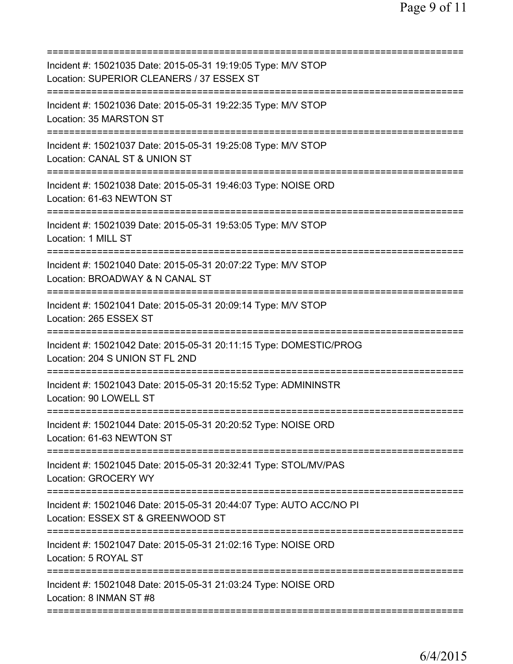| Incident #: 15021035 Date: 2015-05-31 19:19:05 Type: M/V STOP<br>Location: SUPERIOR CLEANERS / 37 ESSEX ST            |
|-----------------------------------------------------------------------------------------------------------------------|
| Incident #: 15021036 Date: 2015-05-31 19:22:35 Type: M/V STOP<br>Location: 35 MARSTON ST                              |
| Incident #: 15021037 Date: 2015-05-31 19:25:08 Type: M/V STOP<br>Location: CANAL ST & UNION ST                        |
| Incident #: 15021038 Date: 2015-05-31 19:46:03 Type: NOISE ORD<br>Location: 61-63 NEWTON ST                           |
| Incident #: 15021039 Date: 2015-05-31 19:53:05 Type: M/V STOP<br>Location: 1 MILL ST                                  |
| Incident #: 15021040 Date: 2015-05-31 20:07:22 Type: M/V STOP<br>Location: BROADWAY & N CANAL ST                      |
| Incident #: 15021041 Date: 2015-05-31 20:09:14 Type: M/V STOP<br>Location: 265 ESSEX ST<br>===================        |
| Incident #: 15021042 Date: 2015-05-31 20:11:15 Type: DOMESTIC/PROG<br>Location: 204 S UNION ST FL 2ND                 |
| Incident #: 15021043 Date: 2015-05-31 20:15:52 Type: ADMININSTR<br>Location: 90 LOWELL ST                             |
| Incident #: 15021044 Date: 2015-05-31 20:20:52 Type: NOISE ORD<br>Location: 61-63 NEWTON ST                           |
| Incident #: 15021045 Date: 2015-05-31 20:32:41 Type: STOL/MV/PAS<br><b>Location: GROCERY WY</b>                       |
| Incident #: 15021046 Date: 2015-05-31 20:44:07 Type: AUTO ACC/NO PI<br>Location: ESSEX ST & GREENWOOD ST              |
| ===========================<br>Incident #: 15021047 Date: 2015-05-31 21:02:16 Type: NOISE ORD<br>Location: 5 ROYAL ST |
| Incident #: 15021048 Date: 2015-05-31 21:03:24 Type: NOISE ORD<br>Location: 8 INMAN ST #8                             |
|                                                                                                                       |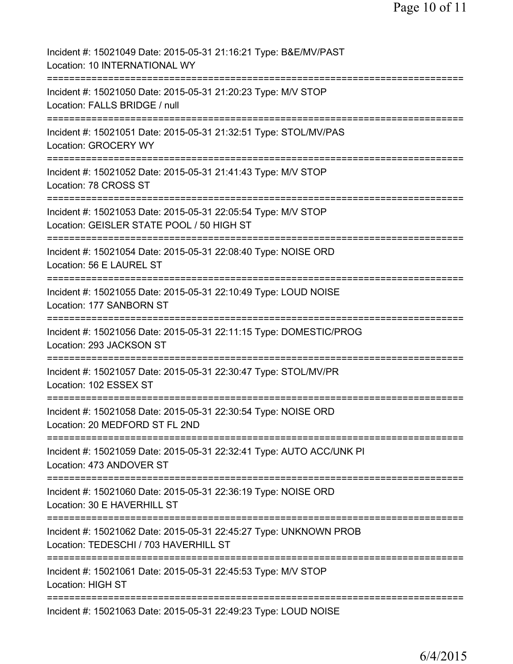| Incident #: 15021049 Date: 2015-05-31 21:16:21 Type: B&E/MV/PAST<br>Location: 10 INTERNATIONAL WY                                                      |
|--------------------------------------------------------------------------------------------------------------------------------------------------------|
| Incident #: 15021050 Date: 2015-05-31 21:20:23 Type: M/V STOP<br>Location: FALLS BRIDGE / null                                                         |
| Incident #: 15021051 Date: 2015-05-31 21:32:51 Type: STOL/MV/PAS<br>Location: GROCERY WY                                                               |
| Incident #: 15021052 Date: 2015-05-31 21:41:43 Type: M/V STOP<br>Location: 78 CROSS ST                                                                 |
| Incident #: 15021053 Date: 2015-05-31 22:05:54 Type: M/V STOP<br>Location: GEISLER STATE POOL / 50 HIGH ST                                             |
| Incident #: 15021054 Date: 2015-05-31 22:08:40 Type: NOISE ORD<br>Location: 56 E LAUREL ST                                                             |
| Incident #: 15021055 Date: 2015-05-31 22:10:49 Type: LOUD NOISE<br>Location: 177 SANBORN ST                                                            |
| Incident #: 15021056 Date: 2015-05-31 22:11:15 Type: DOMESTIC/PROG<br>Location: 293 JACKSON ST                                                         |
| Incident #: 15021057 Date: 2015-05-31 22:30:47 Type: STOL/MV/PR<br>Location: 102 ESSEX ST                                                              |
| Incident #: 15021058 Date: 2015-05-31 22:30:54 Type: NOISE ORD<br>Location: 20 MEDFORD ST FL 2ND                                                       |
| Incident #: 15021059 Date: 2015-05-31 22:32:41 Type: AUTO ACC/UNK PI<br>Location: 473 ANDOVER ST                                                       |
| Incident #: 15021060 Date: 2015-05-31 22:36:19 Type: NOISE ORD<br>Location: 30 E HAVERHILL ST                                                          |
| Incident #: 15021062 Date: 2015-05-31 22:45:27 Type: UNKNOWN PROB<br>Location: TEDESCHI / 703 HAVERHILL ST                                             |
| ===============================<br>=============================<br>Incident #: 15021061 Date: 2015-05-31 22:45:53 Type: M/V STOP<br>Location: HIGH ST |
| Incident #: 15021063 Date: 2015-05-31 22:49:23 Type: LOUD NOISE                                                                                        |